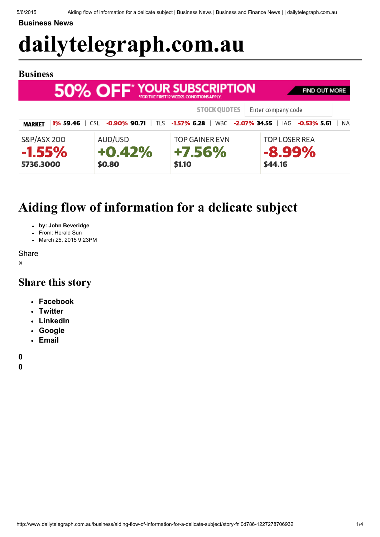[Business](http://www.dailytelegraph.com.au/business) News

# [dailytelegraph.com.au](http://www.dailytelegraph.com.au/)

## Business

| 50% OFF <sup>*</sup> YOUR SUBSCRIPTION<br><b>FIND OUT MORE</b><br>*FOR THE FIRST 12 WEEKS, CONDITIONS APPLY. |          |                               |                                           |                                              |  |  |  |  |  |
|--------------------------------------------------------------------------------------------------------------|----------|-------------------------------|-------------------------------------------|----------------------------------------------|--|--|--|--|--|
|                                                                                                              |          |                               | <b>STOCK QUOTES</b>                       | Enter company code                           |  |  |  |  |  |
| <b>MARKET</b>                                                                                                | 3% 59.46 | $-0.90\%$ 90.71<br>CSL.       | TLS -1.57% 6.28<br>WBC -2.07% 34.55       | IAG -0.53% 5.61<br><b>NA</b>                 |  |  |  |  |  |
| <b>S&amp;P/ASX 200</b><br>$-1.55\%$<br>5736.3000                                                             |          | AUD/USD<br>$+0.42%$<br>\$0.80 | <b>TOP GAINER EVN</b><br>+7.56%<br>\$1.10 | <b>TOP LOSER REA</b><br>$-8.99\%$<br>\$44.16 |  |  |  |  |  |

## Aiding flow of information for a delicate subject

- by: John Beveridge
- From: Herald Sun
- March 25, 2015 9:23PM

**Share** 

×

## Share this story

- [Facebook](http://facebook.com/sharer.php?u=http://www.dailytelegraph.com.au/business/aiding-flow-of-information-for-a-delicate-subject/story-fni0d786-1227278706932&t=Aiding%20flow%20of%20information%20for%20a%20delicate%20subject)
- **[Twitter](https://twitter.com/intent/tweet?url=http://www.dailytelegraph.com.au/business/aiding-flow-of-information-for-a-delicate-subject/story-fni0d786-1227278706932&text=Aiding%20flow%20of%20information%20for%20a%20delicate%20subject)**
- [LinkedIn](http://www.linkedin.com/shareArticle?mini=true&url=http://www.dailytelegraph.com.au/business/aiding-flow-of-information-for-a-delicate-subject/story-fni0d786-1227278706932&title=Aiding%20flow%20of%20information%20for%20a%20delicate%20subject)
- [Google](https://plus.google.com/share?url=http://www.dailytelegraph.com.au/business/aiding-flow-of-information-for-a-delicate-subject/story-fni0d786-1227278706932)
- [Email](mailto:?body=http://www.dailytelegraph.com.au/business/aiding-flow-of-information-for-a-delicate-subject/story-fni0d786-1227278706932&subject=Aiding%20flow%20of%20information%20for%20a%20delicate%20subject)

[0](#page-2-0)

[0](#page-2-0)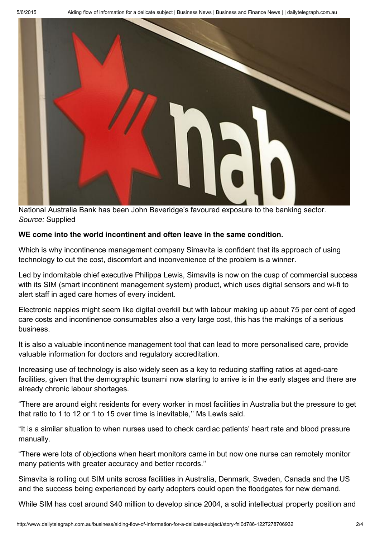

National Australia Bank has been John Beveridge's favoured exposure to the banking sector. *Source:* Supplied

## WE come into the world incontinent and often leave in the same condition.

Which is why incontinence management company Simavita is confident that its approach of using technology to cut the cost, discomfort and inconvenience of the problem is a winner.

Led by indomitable chief executive Philippa Lewis, Simavita is now on the cusp of commercial success with its SIM (smart incontinent management system) product, which uses digital sensors and wi-fi to alert staff in aged care homes of every incident.

Electronic nappies might seem like digital overkill but with labour making up about 75 per cent of aged care costs and incontinence consumables also a very large cost, this has the makings of a serious business.

It is also a valuable incontinence management tool that can lead to more personalised care, provide valuable information for doctors and regulatory accreditation.

Increasing use of technology is also widely seen as a key to reducing staffing ratios at aged-care facilities, given that the demographic tsunami now starting to arrive is in the early stages and there are already chronic labour shortages.

"There are around eight residents for every worker in most facilities in Australia but the pressure to get that ratio to 1 to 12 or 1 to 15 over time is inevitable,'' Ms Lewis said.

"It is a similar situation to when nurses used to check cardiac patients' heart rate and blood pressure manually.

"There were lots of objections when heart monitors came in but now one nurse can remotely monitor many patients with greater accuracy and better records.''

Simavita is rolling out SIM units across facilities in Australia, Denmark, Sweden, Canada and the US and the success being experienced by early adopters could open the floodgates for new demand.

While SIM has cost around \$40 million to develop since 2004, a solid intellectual property position and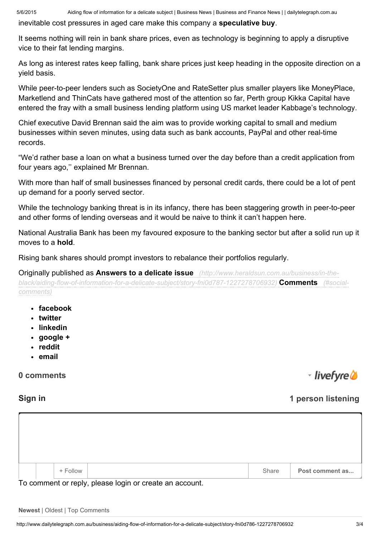inevitable cost pressures in aged care make this company a speculative buy.

It seems nothing will rein in bank share prices, even as technology is beginning to apply a disruptive vice to their fat lending margins.

As long as interest rates keep falling, bank share prices just keep heading in the opposite direction on a yield basis.

While peer-to-peer lenders such as SocietyOne and RateSetter plus smaller players like MoneyPlace, Marketlend and ThinCats have gathered most of the attention so far, Perth group Kikka Capital have entered the fray with a small business lending platform using US market leader Kabbage's technology.

Chief executive David Brennan said the aim was to provide working capital to small and medium businesses within seven minutes, using data such as bank accounts, PayPal and other real-time records.

"We'd rather base a loan on what a business turned over the day before than a credit application from four years ago,'' explained Mr Brennan.

With more than half of small businesses financed by personal credit cards, there could be a lot of pent up demand for a poorly served sector.

While the technology banking threat is in its infancy, there has been staggering growth in peer-to-peer and other forms of lending overseas and it would be naive to think it can't happen here.

National Australia Bank has been my favoured exposure to the banking sector but after a solid run up it moves to a hold.

Rising bank shares should prompt investors to rebalance their portfolios regularly.

Originally published as Answers to a delicate issue *(http://www.heraldsun.com.au/business/in-the-*

*[black/aiding-flow-of-information-for-a-delicate-subject/story-fni0d787-1227278706932\)](http://www.heraldsun.com.au/business/in-the-black/aiding-flow-of-information-for-a-delicate-subject/story-fni0d787-1227278706932)* Comments *(#socialcomments)*

- facebook
- twitter
- linkedin
- google +
- reddit
- email

## <span id="page-2-0"></span>0 comments

## Sign in 1 person listening

- livefyre **a** 

|  | + Follow | Share | Post comment as |
|--|----------|-------|-----------------|

To comment or reply, please login or create an account.